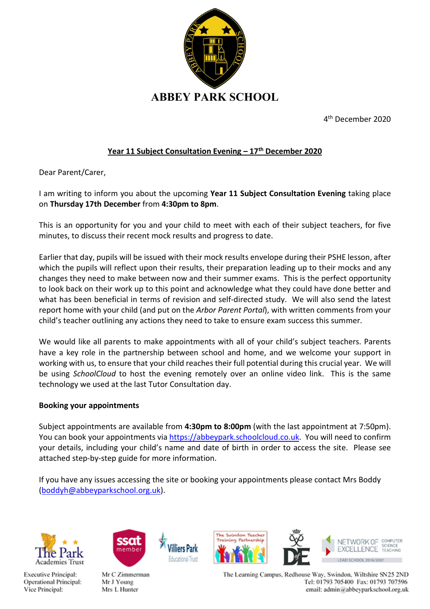

4 th December 2020

## Year 11 Subject Consultation Evening  $-17<sup>th</sup>$  December 2020

Dear Parent/Carer,

I am writing to inform you about the upcoming Year 11 Subject Consultation Evening taking place on Thursday 17th December from 4:30pm to 8pm.

This is an opportunity for you and your child to meet with each of their subject teachers, for five minutes, to discuss their recent mock results and progress to date.

Earlier that day, pupils will be issued with their mock results envelope during their PSHE lesson, after which the pupils will reflect upon their results, their preparation leading up to their mocks and any changes they need to make between now and their summer exams. This is the perfect opportunity to look back on their work up to this point and acknowledge what they could have done better and what has been beneficial in terms of revision and self-directed study. We will also send the latest report home with your child (and put on the Arbor Parent Portal), with written comments from your child's teacher outlining any actions they need to take to ensure exam success this summer.

We would like all parents to make appointments with all of your child's subject teachers. Parents have a key role in the partnership between school and home, and we welcome your support in working with us, to ensure that your child reaches their full potential during this crucial year. We will be using SchoolCloud to host the evening remotely over an online video link. This is the same technology we used at the last Tutor Consultation day.

## Booking your appointments

Subject appointments are available from 4:30pm to 8:00pm (with the last appointment at 7:50pm). You can book your appointments via https://abbeypark.schoolcloud.co.uk. You will need to confirm your details, including your child's name and date of birth in order to access the site. Please see attached step-by-step guide for more information.

If you have any issues accessing the site or booking your appointments please contact Mrs Boddy (boddyh@abbeyparkschool.org.uk).

idurational Trus







Mr C Zimmerman Mr J Young Mrs L Hunter



The Learning Campus, Redhouse Way, Swindon, Wiltshire SN25 2ND Tel: 01793 705400 Fax: 01793 707596 email: admin@abbeyparkschool.org.uk